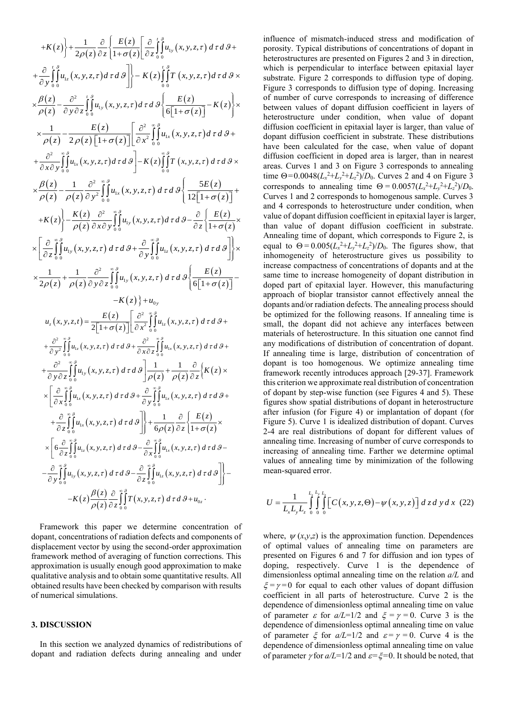$$
+K(z)\left\{\n+ \frac{1}{2\rho(z)}\frac{\partial}{\partial z}\left[\frac{E(z)}{1+\sigma(z)}\right]\frac{\partial}{\partial z}\int_{0}^{z}\frac{\partial}{\partial u_{1}}(x,y,z,\tau) d\tau d\theta + \frac{\partial}{\partial y}\int_{0}^{z}\frac{\partial}{\partial u_{1}}(x,y,z,\tau) d\tau d\theta\right\}\right]-K(z)\int_{0}^{z}\int_{0}^{z}\frac{\partial}{\partial T}(x,y,z,\tau) d\tau d\theta \times \mathbf{x} + \frac{\partial}{\partial z}\int_{0}^{z}\frac{\partial}{\partial u_{1}}(x,y,z,\tau) d\tau d\theta \times \mathbf{x} + \frac{\partial}{\partial z}\int_{0}^{z}\frac{\partial}{\partial u_{1}}(x,y,z,\tau) d\tau d\theta \times \mathbf{x} + \frac{1}{\rho(z)}-\frac{E(z)}{\rho(z)}-\frac{E(z)}{\rho(z)[1+\sigma(z)]}\left[\frac{\partial^{2}}{\partial x}\int_{0}^{z}\frac{\partial}{\partial u_{1}}(x,y,z,\tau) d\tau d\theta + \frac{\partial^{2}}{\partial z\partial y}\int_{0}^{z}\frac{\partial}{\partial u_{1}}(x,y,z,\tau) d\tau d\theta\right]-K(z)\int_{0}^{z}\frac{\partial}{\partial T}(x,y,z,\tau) d\tau d\theta \times \mathbf{x} + \frac{\partial^{2}}{\partial z\partial y}\int_{0}^{z}\frac{\partial}{\partial u_{1}}(x,y,z,\tau) d\tau d\theta \times \mathbf{x} + \frac{\partial^{2}}{\partial z\partial y}\int_{0}^{z}\frac{\partial}{\partial u_{1}}(x,y,z,\tau) d\tau d\theta \times \mathbf{x} + \frac{\partial^{2}}{\rho(z)}-\frac{\partial^{2}}{\rho(z)}\int_{0}^{z}\frac{\partial}{\partial u_{2}}(x,y,z,\tau) d\tau d\theta \times \mathbf{x} + \frac{\partial}{\partial z}\int_{0}^{z}\frac{\partial}{\partial u_{1}}(x,y,z,\tau) d\tau d\theta \times \mathbf{x} + \frac{\partial}{\partial z}\int_{0}^{z}\frac{\partial}{\partial u_{1}}(x,y,z,\tau) d\tau d\theta \times \mathbf{x} + \frac{\partial}{\partial z}\int_{0}^{z}\frac{\partial}{\partial u_{1}}(x,y,z,\tau) d\tau d\theta \times \mathbf{x} + \frac{\partial}{\partial z}\int_{0}^{z}\frac{\partial}{\partial u
$$

Framework this paper we determine concentration of dopant, concentrations of radiation defects and components of displacement vector by using the second-order approximation framework method of averaging of function corrections. This approximation is usually enough good approximation to make qualitative analysis and to obtain some quantitative results. All obtained results have been checked by comparison with results of numerical simulations.

## **3. DISCUSSION**

In this section we analyzed dynamics of redistributions of dopant and radiation defects during annealing and under

influence of mismatch-induced stress and modification of porosity. Typical distributions of concentrations of dopant in heterostructures are presented on Figures 2 and 3 in direction, which is perpendicular to interface between epitaxial layer substrate. Figure 2 corresponds to diffusion type of doping. Figure 3 corresponds to diffusion type of doping. Increasing of number of curve corresponds to increasing of difference between values of dopant diffusion coefficient in layers of heterostructure under condition, when value of dopant diffusion coefficient in epitaxial layer is larger, than value of dopant diffusion coefficient in substrate. These distributions have been calculated for the case, when value of dopant diffusion coefficient in doped area is larger, than in nearest areas. Curves 1 and 3 on Figure 3 corresponds to annealing time  $\Theta = 0.0048(L_x^2 + L_y^2 + L_z^2)/D_0$ . Curves 2 and 4 on Figure 3 corresponds to annealing time  $\Theta = 0.0057(L_x^2 + L_y^2 + L_z^2)/D_0$ . Curves 1 and 2 corresponds to homogenous sample. Curves 3 and 4 corresponds to heterostructure under condition, when value of dopant diffusion coefficient in epitaxial layer is larger, than value of dopant diffusion coefficient in substrate. Annealing time of dopant, which corresponds to Figure 2, is equal to  $\Theta = 0.005(L_x^2 + L_y^2 + L_z^2)/D_0$ . The figures show, that inhomogeneity of heterostructure gives us possibility to increase compactness of concentrations of dopants and at the same time to increase homogeneity of dopant distribution in doped part of epitaxial layer. However, this manufacturing approach of bioplar transistor cannot effectively anneal the dopants and/or radiation defects. The annealing process should be optimized for the following reasons. If annealing time is small, the dopant did not achieve any interfaces between materials of heterostructure. In this situation one cannot find any modifications of distribution of concentration of dopant. If annealing time is large, distribution of concentration of dopant is too homogenous. We optimize annealing time framework recently introduces approach [29-37]. Framework this criterion we approximate real distribution of concentration of dopant by step-wise function (see Figures 4 and 5). These figures show spatial distributions of dopant in heterostructure after infusion (for Figure 4) or implantation of dopant (for Figure 5). Curve 1 is idealized distribution of dopant. Curves 2-4 are real distributions of dopant for different values of annealing time. Increasing of number of curve corresponds to increasing of annealing time. Farther we determine optimal values of annealing time by minimization of the following mean-squared error.

$$
U = \frac{1}{L_x L_y L_z} \int_{0}^{L_x L_y L_z} \int_{0}^{L_y} \left[ C(x, y, z, \Theta) - \psi(x, y, z) \right] dz dy dx
$$
 (22)

where,  $\psi(x,y,z)$  is the approximation function. Dependences of optimal values of annealing time on parameters are presented on Figures 6 and 7 for diffusion and ion types of doping, respectively. Curve 1 is the dependence of dimensionless optimal annealing time on the relation *a/L* and  $\xi = \gamma = 0$  for equal to each other values of dopant diffusion coefficient in all parts of heterostructure. Curve 2 is the dependence of dimensionless optimal annealing time on value of parameter  $\varepsilon$  for  $a/L=1/2$  and  $\xi = \gamma = 0$ . Curve 3 is the dependence of dimensionless optimal annealing time on value of parameter  $\zeta$  for  $a/L=1/2$  and  $\varepsilon = \gamma = 0$ . Curve 4 is the dependence of dimensionless optimal annealing time on value of parameter  $\gamma$  for  $a/L=1/2$  and  $\varepsilon = \xi = 0$ . It should be noted, that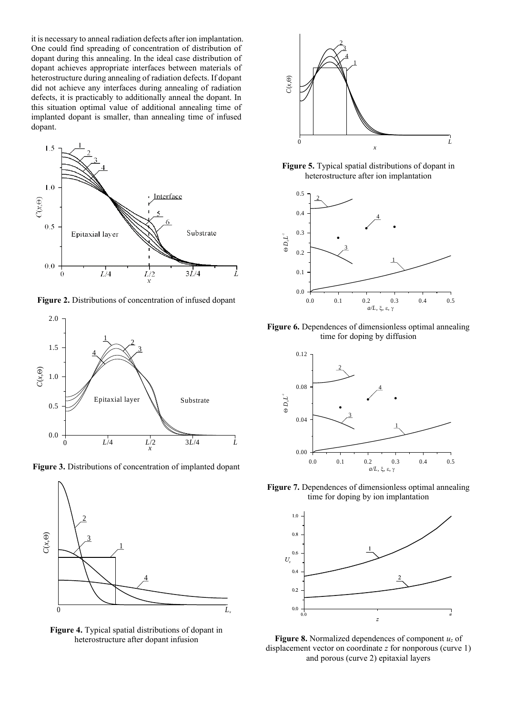it is necessary to anneal radiation defects after ion implantation. One could find spreading of concentration of distribution of dopant during this annealing. In the ideal case distribution of dopant achieves appropriate interfaces between materials of heterostructure during annealing of radiation defects. If dopant did not achieve any interfaces during annealing of radiation defects, it is practicably to additionally anneal the dopant. In this situation optimal value of additional annealing time of implanted dopant is smaller, than annealing time of infused dopant.



**Figure 2.** Distributions of concentration of infused dopant



**Figure 3.** Distributions of concentration of implanted dopant



**Figure 4.** Typical spatial distributions of dopant in heterostructure after dopant infusion



**Figure 5.** Typical spatial distributions of dopant in heterostructure after ion implantation



**Figure 6.** Dependences of dimensionless optimal annealing time for doping by diffusion



**Figure 7.** Dependences of dimensionless optimal annealing time for doping by ion implantation



**Figure 8.** Normalized dependences of component *u<sup>z</sup>* of displacement vector on coordinate *z* for nonporous (curve 1) and porous (curve 2) epitaxial layers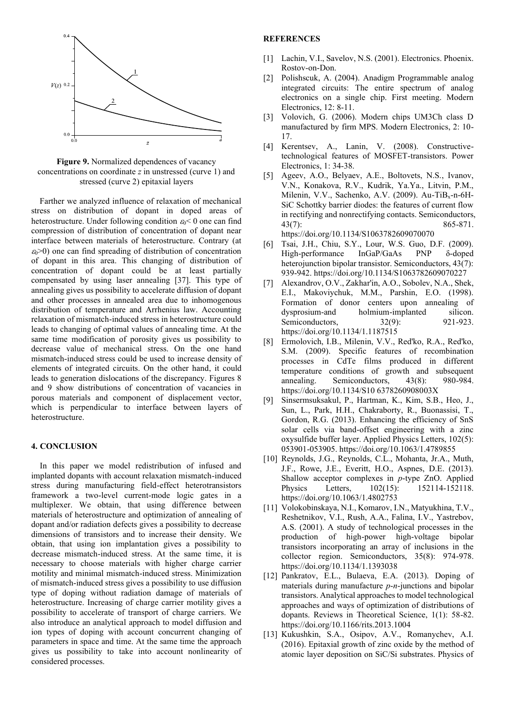

**Figure 9.** Normalized dependences of vacancy concentrations on coordinate *z* in unstressed (curve 1) and stressed (curve 2) epitaxial layers

Farther we analyzed influence of relaxation of mechanical stress on distribution of dopant in doped areas of heterostructure. Under following condition  $\varepsilon_0$  < 0 one can find compression of distribution of concentration of dopant near interface between materials of heterostructure. Contrary (at  $\epsilon_0$ >0) one can find spreading of distribution of concentration of dopant in this area. This changing of distribution of concentration of dopant could be at least partially compensated by using laser annealing [37]. This type of annealing gives us possibility to accelerate diffusion of dopant and other processes in annealed area due to inhomogenous distribution of temperature and Arrhenius law. Accounting relaxation of mismatch-induced stress in heterostructure could leads to changing of optimal values of annealing time. At the same time modification of porosity gives us possibility to decrease value of mechanical stress. On the one hand mismatch-induced stress could be used to increase density of elements of integrated circuits. On the other hand, it could leads to generation dislocations of the discrepancy. Figures 8 and 9 show distributions of concentration of vacancies in porous materials and component of displacement vector, which is perpendicular to interface between layers of heterostructure.

## **4. CONCLUSION**

In this paper we model redistribution of infused and implanted dopants with account relaxation mismatch-induced stress during manufacturing field-effect heterotransistors framework a two-level current-mode logic gates in a multiplexer. We obtain, that using difference between materials of heterostructure and optimization of annealing of dopant and/or radiation defects gives a possibility to decrease dimensions of transistors and to increase their density. We obtain, that using ion implantation gives a possibility to decrease mismatch-induced stress. At the same time, it is necessary to choose materials with higher charge carrier motility and minimal mismatch-induced stress. Minimization of mismatch-induced stress gives a possibility to use diffusion type of doping without radiation damage of materials of heterostructure. Increasing of charge carrier motility gives a possibility to accelerate of transport of charge carriers. We also introduce an analytical approach to model diffusion and ion types of doping with account concurrent changing of parameters in space and time. At the same time the approach gives us possibility to take into account nonlinearity of considered processes.

## **REFERENCES**

- [1] Lachin, V.I., Savelov, N.S. (2001). Electronics. Phoenix. Rostov-on-Don.
- [2] Polishscuk, A. (2004). Anadigm Programmable analog integrated circuits: The entire spectrum of analog electronics on a single chip. First meeting. Modern Electronics, 12: 8-11.
- [3] Volovich, G. (2006). Modern chips UM3Ch class D manufactured by firm MPS. Modern Electronics, 2: 10- 17.
- [4] Kerentsev, A., Lanin, V. (2008). Constructivetechnological features of MOSFET-transistors. Power Electronics, 1: 34-38.
- [5] Ageev, A.O., Belyaev, A.E., Boltovets, N.S., Ivanov, V.N., Konakova, R.V., Kudrik, Ya.Ya., Litvin, P.M., Milenin, V.V., Sachenko, A.V. (2009). Au-TiBx-n-6H-SiC Schottky barrier diodes: the features of current flow in rectifying and nonrectifying contacts. Semiconductors, 43(7): 865-871. https://doi.org/10.1134/S1063782609070070
- [6] Tsai, J.H., Chiu, S.Y., Lour, W.S. Guo, D.F. (2009). High-performance InGaP/GaAs PNP δ-doped heterojunction bipolar transistor. Semiconductors, 43(7): 939-942. https://doi.org/10.1134/S1063782609070227
- [7] Alexandrov, O.V., Zakhar'in, A.O., Sobolev, N.A., Shek, E.I., Makoviychuk, M.M., Parshin, E.O. (1998). Formation of donor centers upon annealing of dysprosium-and holmium-implanted silicon. Semiconductors, 32(9): 921-923. https://doi.org/10.1134/1.1187515
- [8] Ermolovich, I.B., Milenin, V.V., Red'ko, R.A., Red'ko, S.M. (2009). Specific features of recombination processes in CdTe films produced in different temperature conditions of growth and subsequent annealing. Semiconductors, 43(8): 980-984. https://doi.org/10.1134/S10 6378260908003X
- [9] Sinsermsuksakul, P., Hartman, K., Kim, S.B., Heo, J., Sun, L., Park, H.H., Chakraborty, R., Buonassisi, T., Gordon, R.G. (2013). Enhancing the efficiency of SnS solar cells via band-offset engineering with a zinc oxysulfide buffer layer. Applied Physics Letters, 102(5): 053901-053905. https://doi.org/10.1063/1.4789855
- [10] Reynolds, J.G., Reynolds, C.L., Mohanta, Jr.A., Muth, J.F., Rowe, J.E., Everitt, H.O., Aspnes, D.E. (2013). Shallow acceptor complexes in *p*-type ZnO. Applied Physics Letters, 102(15): 152114-152118. https://doi.org/10.1063/1.4802753
- [11] Volokobinskaya, N.I., Komarov, I.N., Matyukhina, T.V., Reshetnikov, V.I., Rush, A.A., Falina, I.V., Yastrebov, A.S. (2001). A study of technological processes in the production of high-power high-voltage bipolar transistors incorporating an array of inclusions in the collector region. Semiconductors, 35(8): 974-978. https://doi.org/10.1134/1.1393038
- [12] Pankratov, E.L., Bulaeva, E.A. (2013). Doping of materials during manufacture *p*-*n*-junctions and bipolar transistors. Analytical approaches to model technological approaches and ways of optimization of distributions of dopants. Reviews in Theoretical Science, 1(1): 58-82. https://doi.org/10.1166/rits.2013.1004
- [13] Kukushkin, S.A., Osipov, A.V., Romanychev, A.I. (2016). Epitaxial growth of zinc oxide by the method of atomic layer deposition on SiC/Si substrates. Physics of